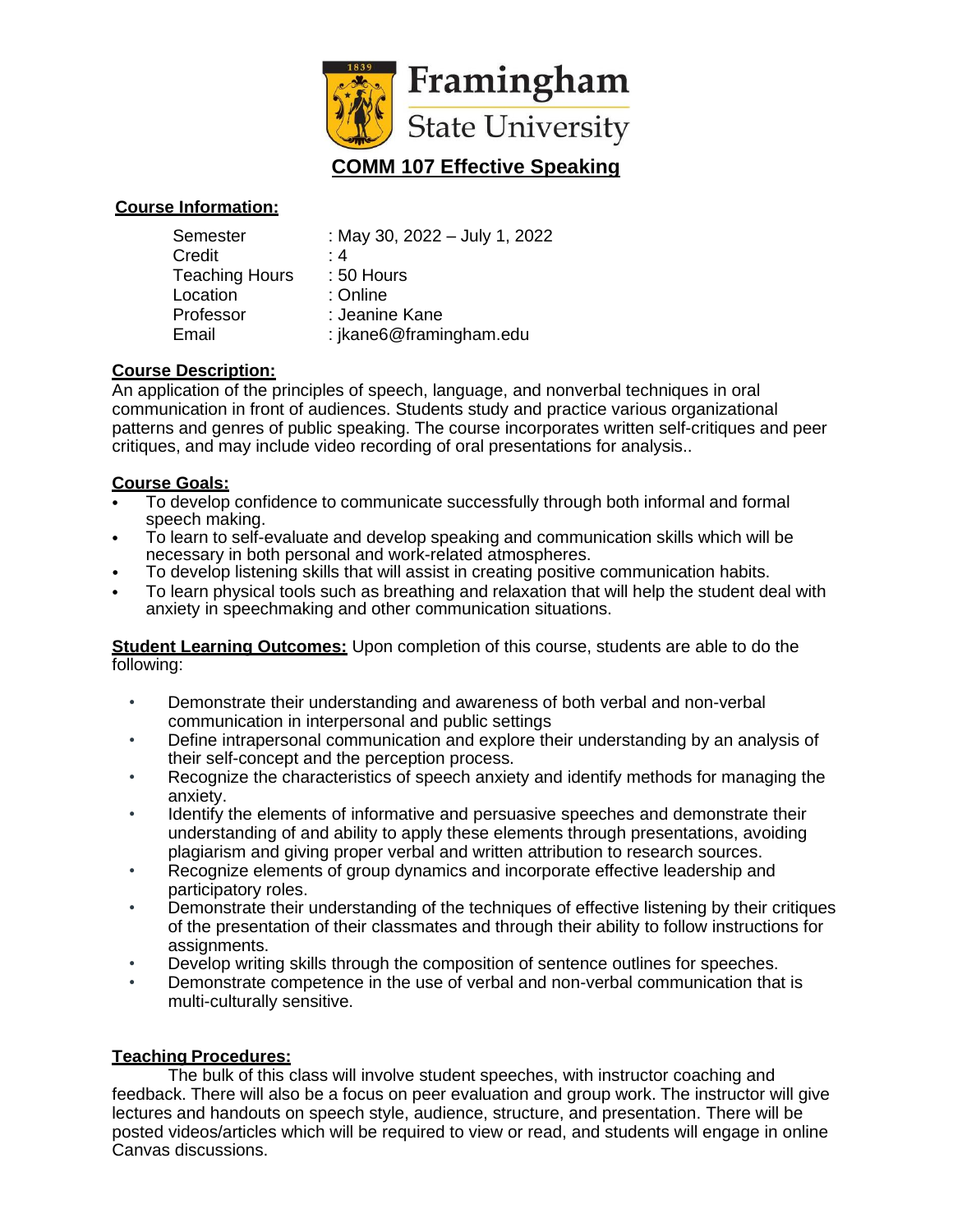

#### **Course Information:**

| : May 30, 2022 - July 1, 2022 |
|-------------------------------|
| : 4                           |
| : 50 Hours                    |
| : Online                      |
| : Jeanine Kane                |
| : jkane6@framingham.edu       |
|                               |

## **Course Description:**

An application of the principles of speech, language, and nonverbal techniques in oral communication in front of audiences. Students study and practice various organizational patterns and genres of public speaking. The course incorporates written self-critiques and peer critiques, and may include video recording of oral presentations for analysis..

#### **Course Goals:**

- To develop confidence to communicate successfully through both informal and formal speech making.
- To learn to self-evaluate and develop speaking and communication skills which will be necessary in both personal and work-related atmospheres.
- To develop listening skills that will assist in creating positive communication habits.
- To learn physical tools such as breathing and relaxation that will help the student deal with anxiety in speechmaking and other communication situations.

**Student Learning Outcomes:** Upon completion of this course, students are able to do the following:

- Demonstrate their understanding and awareness of both verbal and non-verbal communication in interpersonal and public settings
- Define intrapersonal communication and explore their understanding by an analysis of their self-concept and the perception process.
- Recognize the characteristics of speech anxiety and identify methods for managing the anxiety.
- Identify the elements of informative and persuasive speeches and demonstrate their understanding of and ability to apply these elements through presentations, avoiding plagiarism and giving proper verbal and written attribution to research sources.
- Recognize elements of group dynamics and incorporate effective leadership and participatory roles.
- Demonstrate their understanding of the techniques of effective listening by their critiques of the presentation of their classmates and through their ability to follow instructions for assignments.
- Develop writing skills through the composition of sentence outlines for speeches.
- Demonstrate competence in the use of verbal and non-verbal communication that is multi-culturally sensitive.

#### **Teaching Procedures:**

The bulk of this class will involve student speeches, with instructor coaching and feedback. There will also be a focus on peer evaluation and group work. The instructor will give lectures and handouts on speech style, audience, structure, and presentation. There will be posted videos/articles which will be required to view or read, and students will engage in online Canvas discussions.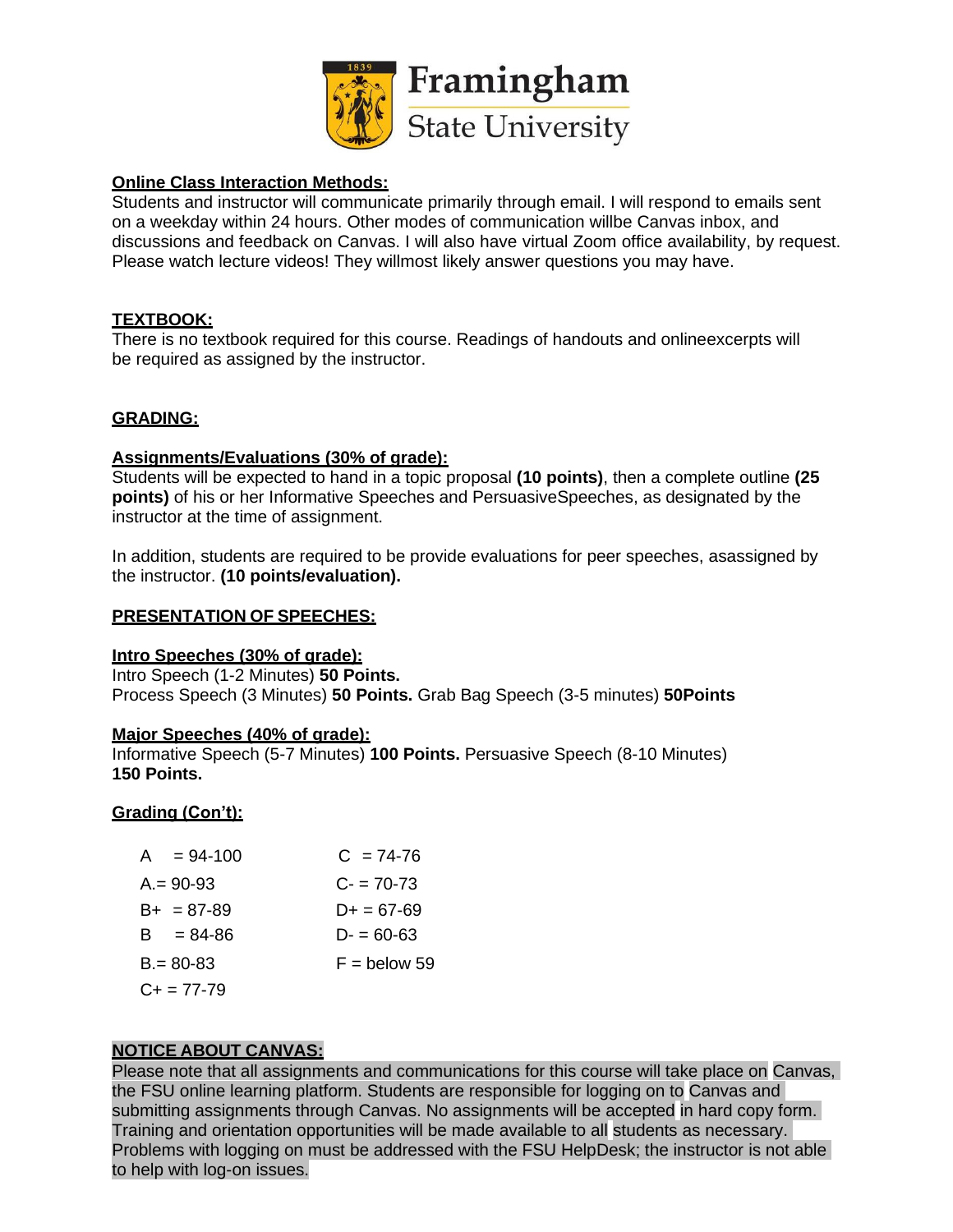

## **Online Class Interaction Methods:**

Students and instructor will communicate primarily through email. I will respond to emails sent on a weekday within 24 hours. Other modes of communication willbe Canvas inbox, and discussions and feedback on Canvas. I will also have virtual Zoom office availability, by request. Please watch lecture videos! They willmost likely answer questions you may have.

## **TEXTBOOK:**

There is no textbook required for this course. Readings of handouts and onlineexcerpts will be required as assigned by the instructor.

## **GRADING:**

## **Assignments/Evaluations (30% of grade):**

Students will be expected to hand in a topic proposal **(10 points)**, then a complete outline **(25 points)** of his or her Informative Speeches and PersuasiveSpeeches, as designated by the instructor at the time of assignment.

In addition, students are required to be provide evaluations for peer speeches, asassigned by the instructor. **(10 points/evaluation).**

## **PRESENTATION OF SPEECHES:**

## **Intro Speeches (30% of grade):**

Intro Speech (1-2 Minutes) **50 Points.** Process Speech (3 Minutes) **50 Points.** Grab Bag Speech (3-5 minutes) **50Points**

## **Major Speeches (40% of grade):**

Informative Speech (5-7 Minutes) **100 Points.** Persuasive Speech (8-10 Minutes) **150 Points.**

# **Grading (Con't):**

| $A = 94-100$        | $C = 74-76$    |
|---------------------|----------------|
| $A = 90-93$         | $C = 70-73$    |
| $B_{+}$ = 87-89     | $D+ = 67-69$   |
| $B = 84 - 86$       | $D = 60 - 63$  |
| $B = 80 - 83$       | $F =$ below 59 |
| $C_{\pm} = 77 - 79$ |                |

# **NOTICE ABOUT CANVAS:**

Please note that all assignments and communications for this course will take place on Canvas, the FSU online learning platform. Students are responsible for logging on to Canvas and submitting assignments through Canvas. No assignments will be accepted in hard copy form. Training and orientation opportunities will be made available to all students as necessary. Problems with logging on must be addressed with the FSU HelpDesk; the instructor is not able to help with log-on issues.